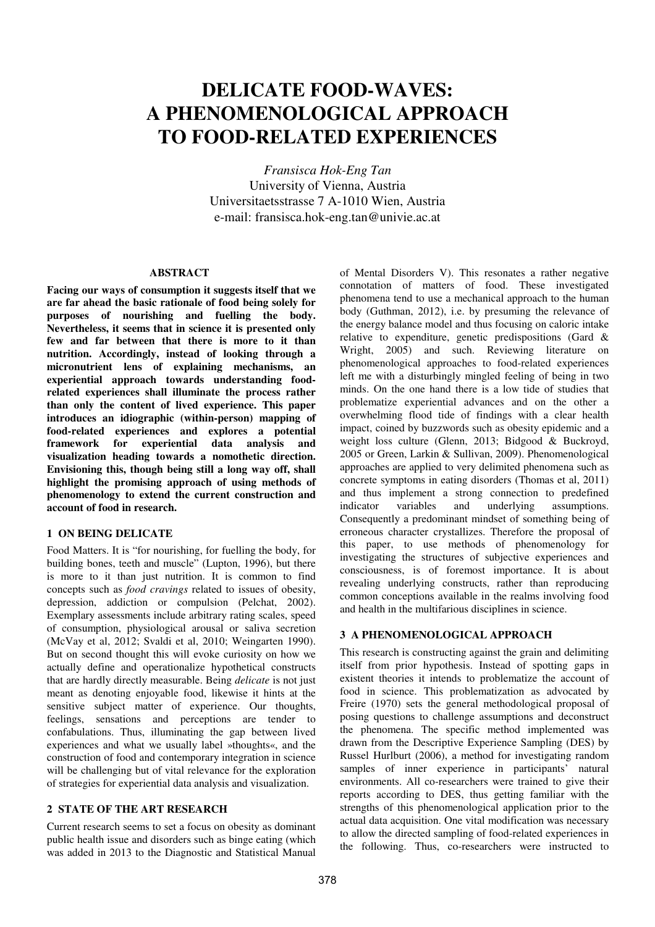# **DELICATE FOOD-WAVES: A PHENOMENOLOGICAL APPROACH TO FOOD-RELATED EXPERIENCES**

*Fransisca Hok-Eng Tan* University of Vienna, Austria Universitaetsstrasse 7 A-1010 Wien, Austria e-mail: fransisca.hok-eng.tan@univie.ac.at

## **ABSTRACT**

**Facing our ways of consumption it suggests itself that we are far ahead the basic rationale of food being solely for purposes of nourishing and fuelling the body. Nevertheless, it seems that in science it is presented only few and far between that there is more to it than nutrition. Accordingly, instead of looking through a micronutrient lens of explaining mechanisms, an experiential approach towards understanding foodrelated experiences shall illuminate the process rather than only the content of lived experience. This paper introduces an idiographic (within-person) mapping of food-related experiences and explores a potential framework for experiential data analysis and visualization heading towards a nomothetic direction. Envisioning this, though being still a long way off, shall highlight the promising approach of using methods of phenomenology to extend the current construction and account of food in research.**

#### **1 ON BEING DELICATE**

Food Matters. It is "for nourishing, for fuelling the body, for building bones, teeth and muscle" (Lupton, 1996), but there is more to it than just nutrition. It is common to find concepts such as *food cravings* related to issues of obesity, depression, addiction or compulsion (Pelchat, 2002). Exemplary assessments include arbitrary rating scales, speed of consumption, physiological arousal or saliva secretion (McVay et al, 2012; Svaldi et al, 2010; Weingarten 1990). But on second thought this will evoke curiosity on how we actually define and operationalize hypothetical constructs that are hardly directly measurable. Being *delicate* is not just meant as denoting enjoyable food, likewise it hints at the sensitive subject matter of experience. Our thoughts, feelings, sensations and perceptions are tender to confabulations. Thus, illuminating the gap between lived experiences and what we usually label »thoughts«, and the construction of food and contemporary integration in science will be challenging but of vital relevance for the exploration of strategies for experiential data analysis and visualization.

## **2 STATE OF THE ART RESEARCH**

Current research seems to set a focus on obesity as dominant public health issue and disorders such as binge eating (which was added in 2013 to the Diagnostic and Statistical Manual of Mental Disorders V). This resonates a rather negative connotation of matters of food. These investigated phenomena tend to use a mechanical approach to the human body (Guthman, 2012), i.e. by presuming the relevance of the energy balance model and thus focusing on caloric intake relative to expenditure, genetic predispositions (Gard & Wright, 2005) and such. Reviewing literature on phenomenological approaches to food-related experiences left me with a disturbingly mingled feeling of being in two minds. On the one hand there is a low tide of studies that problematize experiential advances and on the other a overwhelming flood tide of findings with a clear health impact, coined by buzzwords such as obesity epidemic and a weight loss culture (Glenn, 2013; Bidgood & Buckroyd, 2005 or Green, Larkin & Sullivan, 2009). Phenomenological approaches are applied to very delimited phenomena such as concrete symptoms in eating disorders (Thomas et al, 2011) and thus implement a strong connection to predefined indicator variables and underlying assumptions. Consequently a predominant mindset of something being of erroneous character crystallizes. Therefore the proposal of this paper, to use methods of phenomenology for investigating the structures of subjective experiences and consciousness, is of foremost importance. It is about revealing underlying constructs, rather than reproducing common conceptions available in the realms involving food and health in the multifarious disciplines in science.

#### **3 A PHENOMENOLOGICAL APPROACH**

This research is constructing against the grain and delimiting itself from prior hypothesis. Instead of spotting gaps in existent theories it intends to problematize the account of food in science. This problematization as advocated by Freire (1970) sets the general methodological proposal of posing questions to challenge assumptions and deconstruct the phenomena. The specific method implemented was drawn from the Descriptive Experience Sampling (DES) by Russel Hurlburt (2006), a method for investigating random samples of inner experience in participants' natural environments. All co-researchers were trained to give their reports according to DES, thus getting familiar with the strengths of this phenomenological application prior to the actual data acquisition. One vital modification was necessary to allow the directed sampling of food-related experiences in the following. Thus, co-researchers were instructed to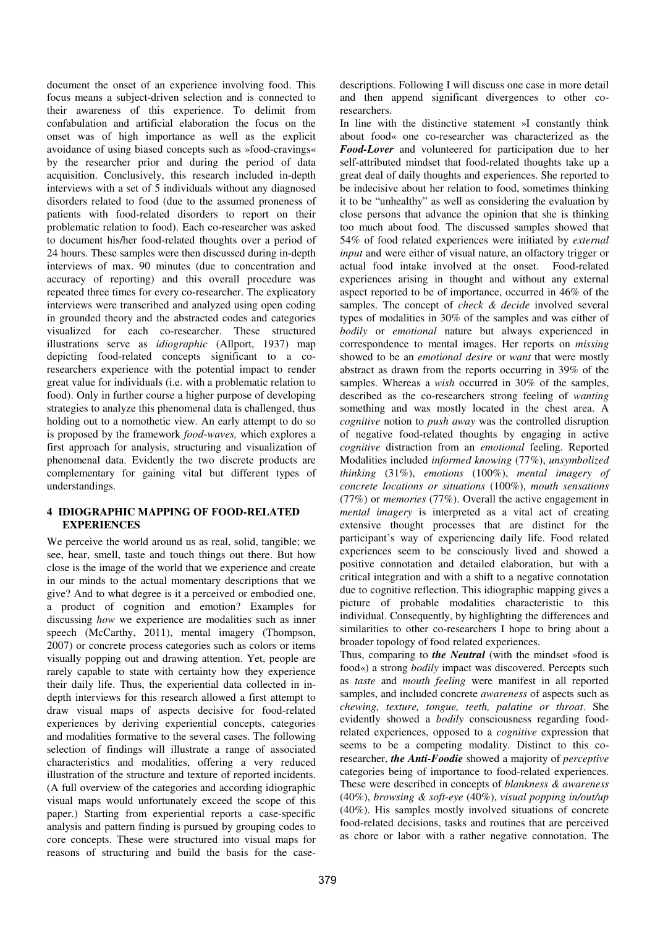document the onset of an experience involving food. This focus means a subject-driven selection and is connected to their awareness of this experience. To delimit from confabulation and artificial elaboration the focus on the onset was of high importance as well as the explicit avoidance of using biased concepts such as »food-cravings« by the researcher prior and during the period of data acquisition. Conclusively, this research included in-depth interviews with a set of 5 individuals without any diagnosed disorders related to food (due to the assumed proneness of patients with food-related disorders to report on their problematic relation to food). Each co-researcher was asked to document his/her food-related thoughts over a period of 24 hours. These samples were then discussed during in-depth interviews of max. 90 minutes (due to concentration and accuracy of reporting) and this overall procedure was repeated three times for every co-researcher. The explicatory interviews were transcribed and analyzed using open coding in grounded theory and the abstracted codes and categories visualized for each co-researcher. These structured illustrations serve as *idiographic* (Allport, 1937) map depicting food-related concepts significant to a coresearchers experience with the potential impact to render great value for individuals (i.e. with a problematic relation to food). Only in further course a higher purpose of developing strategies to analyze this phenomenal data is challenged, thus holding out to a nomothetic view. An early attempt to do so is proposed by the framework *food-waves,* which explores a first approach for analysis, structuring and visualization of phenomenal data. Evidently the two discrete products are complementary for gaining vital but different types of understandings.

## **4 IDIOGRAPHIC MAPPING OF FOOD-RELATED EXPERIENCES**

We perceive the world around us as real, solid, tangible; we see, hear, smell, taste and touch things out there. But how close is the image of the world that we experience and create in our minds to the actual momentary descriptions that we give? And to what degree is it a perceived or embodied one, a product of cognition and emotion? Examples for discussing *how* we experience are modalities such as inner speech (McCarthy, 2011), mental imagery (Thompson, 2007) or concrete process categories such as colors or items visually popping out and drawing attention. Yet, people are rarely capable to state with certainty how they experience their daily life. Thus, the experiential data collected in indepth interviews for this research allowed a first attempt to draw visual maps of aspects decisive for food-related experiences by deriving experiential concepts, categories and modalities formative to the several cases. The following selection of findings will illustrate a range of associated characteristics and modalities, offering a very reduced illustration of the structure and texture of reported incidents. (A full overview of the categories and according idiographic visual maps would unfortunately exceed the scope of this paper.) Starting from experiential reports a case-specific analysis and pattern finding is pursued by grouping codes to core concepts. These were structured into visual maps for reasons of structuring and build the basis for the casedescriptions. Following I will discuss one case in more detail and then append significant divergences to other coresearchers.

In line with the distinctive statement »I constantly think about food« one co-researcher was characterized as the *Food-Lover* and volunteered for participation due to her self-attributed mindset that food-related thoughts take up a great deal of daily thoughts and experiences. She reported to be indecisive about her relation to food, sometimes thinking it to be "unhealthy" as well as considering the evaluation by close persons that advance the opinion that she is thinking too much about food. The discussed samples showed that 54% of food related experiences were initiated by *external input* and were either of visual nature, an olfactory trigger or actual food intake involved at the onset. Food-related experiences arising in thought and without any external aspect reported to be of importance, occurred in 46% of the samples. The concept of *check & decide* involved several types of modalities in 30% of the samples and was either of *bodily* or *emotional* nature but always experienced in correspondence to mental images. Her reports on *missing* showed to be an *emotional desire* or *want* that were mostly abstract as drawn from the reports occurring in 39% of the samples. Whereas a *wish* occurred in 30% of the samples, described as the co-researchers strong feeling of *wanting* something and was mostly located in the chest area. A *cognitive* notion to *push away* was the controlled disruption of negative food-related thoughts by engaging in active *cognitive* distraction from an *emotional* feeling. Reported Modalities included *informed knowing* (77%), *unsymbolized thinking* (31%), *emotions* (100%), *mental imagery of concrete locations or situations* (100%), *mouth sensations* (77%) or *memories* (77%). Overall the active engagement in *mental imagery* is interpreted as a vital act of creating extensive thought processes that are distinct for the participant's way of experiencing daily life. Food related experiences seem to be consciously lived and showed a positive connotation and detailed elaboration, but with a critical integration and with a shift to a negative connotation due to cognitive reflection. This idiographic mapping gives a picture of probable modalities characteristic to this individual. Consequently, by highlighting the differences and similarities to other co-researchers I hope to bring about a broader topology of food related experiences.

Thus, comparing to *the Neutral* (with the mindset »food is food«) a strong *bodily* impact was discovered. Percepts such as *taste* and *mouth feeling* were manifest in all reported samples, and included concrete *awareness* of aspects such as *chewing, texture, tongue, teeth, palatine or throat*. She evidently showed a *bodily* consciousness regarding foodrelated experiences, opposed to a *cognitive* expression that seems to be a competing modality. Distinct to this coresearcher, *the Anti-Foodie* showed a majority of *perceptive* categories being of importance to food-related experiences. These were described in concepts of *blankness & awareness* (40%), *browsing & soft-eye* (40%), *visual popping in/out/up* (40%). His samples mostly involved situations of concrete food-related decisions, tasks and routines that are perceived as chore or labor with a rather negative connotation. The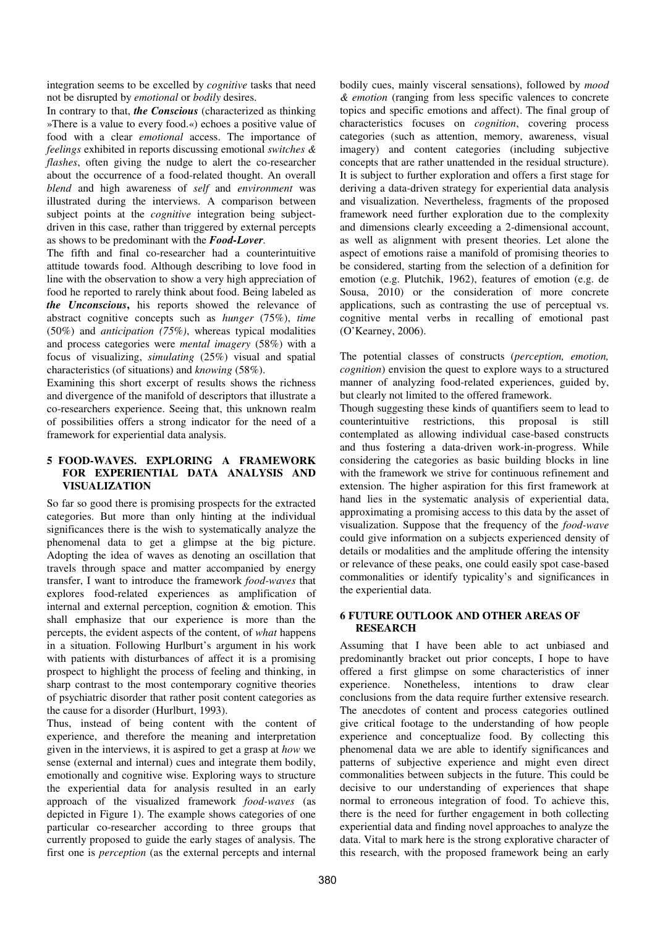integration seems to be excelled by *cognitive* tasks that need not be disrupted by *emotional* or *bodily* desires.

In contrary to that, *the Conscious* (characterized as thinking »There is a value to every food.«) echoes a positive value of food with a clear *emotional* access. The importance of *feelings* exhibited in reports discussing emotional *switches & flashes*, often giving the nudge to alert the co-researcher about the occurrence of a food-related thought. An overall *blend* and high awareness of *self* and *environment* was illustrated during the interviews. A comparison between subject points at the *cognitive* integration being subjectdriven in this case, rather than triggered by external percepts as shows to be predominant with the *Food-Lover.*

The fifth and final co-researcher had a counterintuitive attitude towards food. Although describing to love food in line with the observation to show a very high appreciation of food he reported to rarely think about food. Being labeled as *the Unconscious***,** his reports showed the relevance of abstract cognitive concepts such as *hunger* (75%), *time* (50%) and *anticipation (75%)*, whereas typical modalities and process categories were *mental imagery* (58%) with a focus of visualizing, *simulating* (25%) visual and spatial characteristics (of situations) and *knowing* (58%).

Examining this short excerpt of results shows the richness and divergence of the manifold of descriptors that illustrate a co-researchers experience. Seeing that, this unknown realm of possibilities offers a strong indicator for the need of a framework for experiential data analysis.

### **5 FOOD-WAVES. EXPLORING A FRAMEWORK FOR EXPERIENTIAL DATA ANALYSIS AND VISUALIZATION**

So far so good there is promising prospects for the extracted categories. But more than only hinting at the individual significances there is the wish to systematically analyze the phenomenal data to get a glimpse at the big picture. Adopting the idea of waves as denoting an oscillation that travels through space and matter accompanied by energy transfer, I want to introduce the framework *food-waves* that explores food-related experiences as amplification of internal and external perception, cognition & emotion. This shall emphasize that our experience is more than the percepts, the evident aspects of the content, of *what* happens in a situation. Following Hurlburt's argument in his work with patients with disturbances of affect it is a promising prospect to highlight the process of feeling and thinking, in sharp contrast to the most contemporary cognitive theories of psychiatric disorder that rather posit content categories as the cause for a disorder (Hurlburt, 1993).

Thus, instead of being content with the content of experience, and therefore the meaning and interpretation given in the interviews, it is aspired to get a grasp at *how* we sense (external and internal) cues and integrate them bodily, emotionally and cognitive wise. Exploring ways to structure the experiential data for analysis resulted in an early approach of the visualized framework *food-waves* (as depicted in Figure 1). The example shows categories of one particular co-researcher according to three groups that currently proposed to guide the early stages of analysis. The first one is *perception* (as the external percepts and internal

bodily cues, mainly visceral sensations), followed by *mood & emotion* (ranging from less specific valences to concrete topics and specific emotions and affect). The final group of characteristics focuses on *cognition*, covering process categories (such as attention, memory, awareness, visual imagery) and content categories (including subjective concepts that are rather unattended in the residual structure). It is subject to further exploration and offers a first stage for deriving a data-driven strategy for experiential data analysis and visualization. Nevertheless, fragments of the proposed framework need further exploration due to the complexity and dimensions clearly exceeding a 2-dimensional account, as well as alignment with present theories. Let alone the aspect of emotions raise a manifold of promising theories to be considered, starting from the selection of a definition for emotion (e.g. Plutchik, 1962), features of emotion (e.g. de Sousa, 2010) or the consideration of more concrete applications, such as contrasting the use of perceptual vs. cognitive mental verbs in recalling of emotional past (O'Kearney, 2006).

The potential classes of constructs (*perception, emotion, cognition*) envision the quest to explore ways to a structured manner of analyzing food-related experiences, guided by, but clearly not limited to the offered framework.

Though suggesting these kinds of quantifiers seem to lead to counterintuitive restrictions, this proposal is still contemplated as allowing individual case-based constructs and thus fostering a data-driven work-in-progress. While considering the categories as basic building blocks in line with the framework we strive for continuous refinement and extension. The higher aspiration for this first framework at hand lies in the systematic analysis of experiential data, approximating a promising access to this data by the asset of visualization. Suppose that the frequency of the *food-wave* could give information on a subjects experienced density of details or modalities and the amplitude offering the intensity or relevance of these peaks, one could easily spot case-based commonalities or identify typicality's and significances in the experiential data.

## **6 FUTURE OUTLOOK AND OTHER AREAS OF RESEARCH**

Assuming that I have been able to act unbiased and predominantly bracket out prior concepts, I hope to have offered a first glimpse on some characteristics of inner experience. Nonetheless, intentions to draw clear conclusions from the data require further extensive research. The anecdotes of content and process categories outlined give critical footage to the understanding of how people experience and conceptualize food. By collecting this phenomenal data we are able to identify significances and patterns of subjective experience and might even direct commonalities between subjects in the future. This could be decisive to our understanding of experiences that shape normal to erroneous integration of food. To achieve this, there is the need for further engagement in both collecting experiential data and finding novel approaches to analyze the data. Vital to mark here is the strong explorative character of this research, with the proposed framework being an early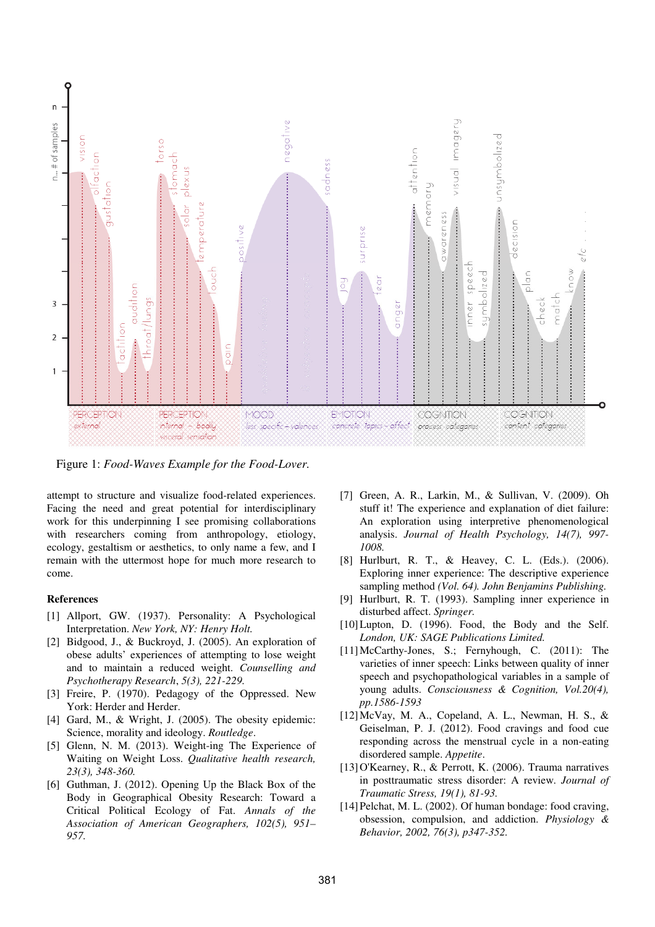

Figure 1: *Food-Waves Example for the Food-Lover.*

attempt to structure and visualize food-related experiences. Facing the need and great potential for interdisciplinary work for this underpinning I see promising collaborations with researchers coming from anthropology, etiology, ecology, gestaltism or aesthetics, to only name a few, and I remain with the uttermost hope for much more research to come.

#### **References**

- [1] Allport, GW. (1937). Personality: A Psychological Interpretation. *New York, NY: Henry Holt.*
- [2] Bidgood, J., & Buckroyd, J. (2005). An exploration of obese adults' experiences of attempting to lose weight and to maintain a reduced weight. *Counselling and Psychotherapy Research*, *5(3), 221-229.*
- [3] Freire, P. (1970). Pedagogy of the Oppressed. New York: Herder and Herder.
- [4] Gard, M., & Wright, J. (2005). The obesity epidemic: Science, morality and ideology. *Routledge*.
- [5] Glenn, N. M. (2013). Weight-ing The Experience of Waiting on Weight Loss. *Qualitative health research, 23(3), 348-360.*
- [6] Guthman, J. (2012). Opening Up the Black Box of the Body in Geographical Obesity Research: Toward a Critical Political Ecology of Fat. *Annals of the Association of American Geographers, 102(5), 951– 957.*
- [7] Green, A. R., Larkin, M., & Sullivan, V. (2009). Oh stuff it! The experience and explanation of diet failure: An exploration using interpretive phenomenological analysis. *Journal of Health Psychology, 14(7), 997- 1008.*
- [8] Hurlburt, R. T., & Heavey, C. L. (Eds.). (2006). Exploring inner experience: The descriptive experience sampling method *(Vol. 64). John Benjamins Publishing.*
- [9] Hurlburt, R. T. (1993). Sampling inner experience in disturbed affect. *Springer.*
- [10] Lupton, D. (1996). Food, the Body and the Self. *London, UK: SAGE Publications Limited.*
- [11]McCarthy-Jones, S.; Fernyhough, C. (2011): The varieties of inner speech: Links between quality of inner speech and psychopathological variables in a sample of young adults. *Consciousness & Cognition, Vol.20(4), pp.1586-1593*
- [12]McVay, M. A., Copeland, A. L., Newman, H. S., & Geiselman, P. J. (2012). Food cravings and food cue responding across the menstrual cycle in a non-eating disordered sample. *Appetite*.
- [13]O'Kearney, R., & Perrott, K. (2006). Trauma narratives in posttraumatic stress disorder: A review. *Journal of Traumatic Stress, 19(1), 81-93.*
- [14] Pelchat, M. L. (2002). Of human bondage: food craving, obsession, compulsion, and addiction. *Physiology & Behavior, 2002, 76(3), p347-352.*